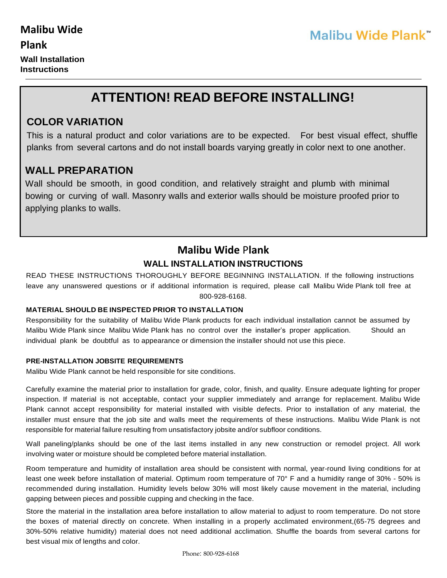**Wall Installation Instructions**

# **ATTENTION! READ BEFORE INSTALLING!**

## **COLOR VARIATION**

This is a natural product and color variations are to be expected. For best visual effect, shuffle planks from several cartons and do not install boards varying greatly in color next to one another.

## **WALL PREPARATION**

Wall should be smooth, in good condition, and relatively straight and plumb with minimal bowing or curving of wall. Masonry walls and exterior walls should be moisture proofed prior to applying planks to walls.

## **Malibu Wide** P**lank WALL INSTALLATION INSTRUCTIONS**

READ THESE INSTRUCTIONS THOROUGHLY BEFORE BEGINNING INSTALLATION. If the following instructions leave any unanswered questions or if additional information is required, please call Malibu Wide Plank toll free at 800-928-6168.

#### **MATERIAL SHOULD BE INSPECTED PRIOR TO INSTALLATION**

Responsibility for the suitability of Malibu Wide Plank products for each individual installation cannot be assumed by Malibu Wide Plank since Malibu Wide Plank has no control over the installer's proper application. Should an individual plank be doubtful as to appearance or dimension the installer should not use this piece.

#### **PRE-INSTALLATION JOBSITE REQUIREMENTS**

Malibu Wide Plank cannot be held responsible for site conditions.

Carefully examine the material prior to installation for grade, color, finish, and quality. Ensure adequate lighting for proper inspection. If material is not acceptable, contact your supplier immediately and arrange for replacement. Malibu Wide Plank cannot accept responsibility for material installed with visible defects. Prior to installation of any material, the installer must ensure that the job site and walls meet the requirements of these instructions. Malibu Wide Plank is not responsible for material failure resulting from unsatisfactory jobsite and/or subfloor conditions.

Wall paneling/planks should be one of the last items installed in any new construction or remodel project. All work involving water or moisture should be completed before material installation.

Room temperature and humidity of installation area should be consistent with normal, year-round living conditions for at least one week before installation of material. Optimum room temperature of 70° F and a humidity range of 30% - 50% is recommended during installation. Humidity levels below 30% will most likely cause movement in the material, including gapping between pieces and possible cupping and checking in the face.

Store the material in the installation area before installation to allow material to adjust to room temperature. Do not store the boxes of material directly on concrete. When installing in a properly acclimated environment,(65-75 degrees and 30%-50% relative humidity) material does not need additional acclimation. Shuffle the boards from several cartons for best visual mix of lengths and color.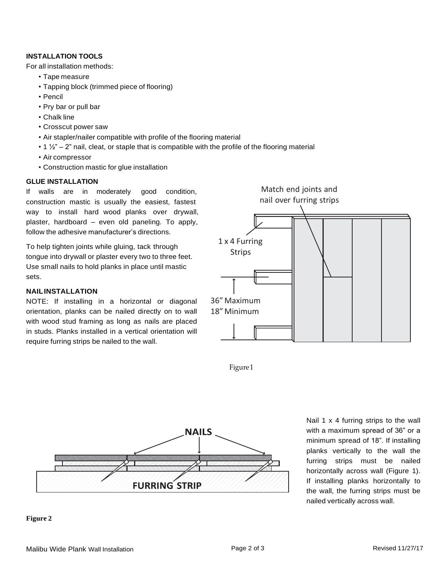#### **INSTALLATION TOOLS**

For all installation methods:

- Tape measure
- Tapping block (trimmed piece of flooring)
- Pencil
- Pry bar or pull bar
- Chalk line
- Crosscut power saw
- Air stapler/nailer compatible with profile of the flooring material
- $\cdot$  1  $\frac{1}{2}$ " 2" nail, cleat, or staple that is compatible with the profile of the flooring material
- Air compressor
- Construction mastic for glue installation

#### **GLUE INSTALLATION**

If walls are in moderately good condition, construction mastic is usually the easiest, fastest way to install hard wood planks over drywall, plaster, hardboard – even old paneling. To apply, follow the adhesive manufacturer's directions.

To help tighten joints while gluing, tack through tongue into drywall or plaster every two to three feet. Use small nails to hold planks in place until mastic sets.

#### **NAILINSTALLATION**

NOTE: If installing in a horizontal or diagonal orientation, planks can be nailed directly on to wall with wood stud framing as long as nails are placed in studs. Planks installed in a vertical orientation will require furring strips be nailed to the wall.







Nail 1 x 4 furring strips to the wall with a maximum spread of 36" or a minimum spread of 18". If installing planks vertically to the wall the furring strips must be nailed horizontally across wall (Figure 1). If installing planks horizontally to the wall, the furring strips must be nailed vertically across wall.

#### **Figure 2**